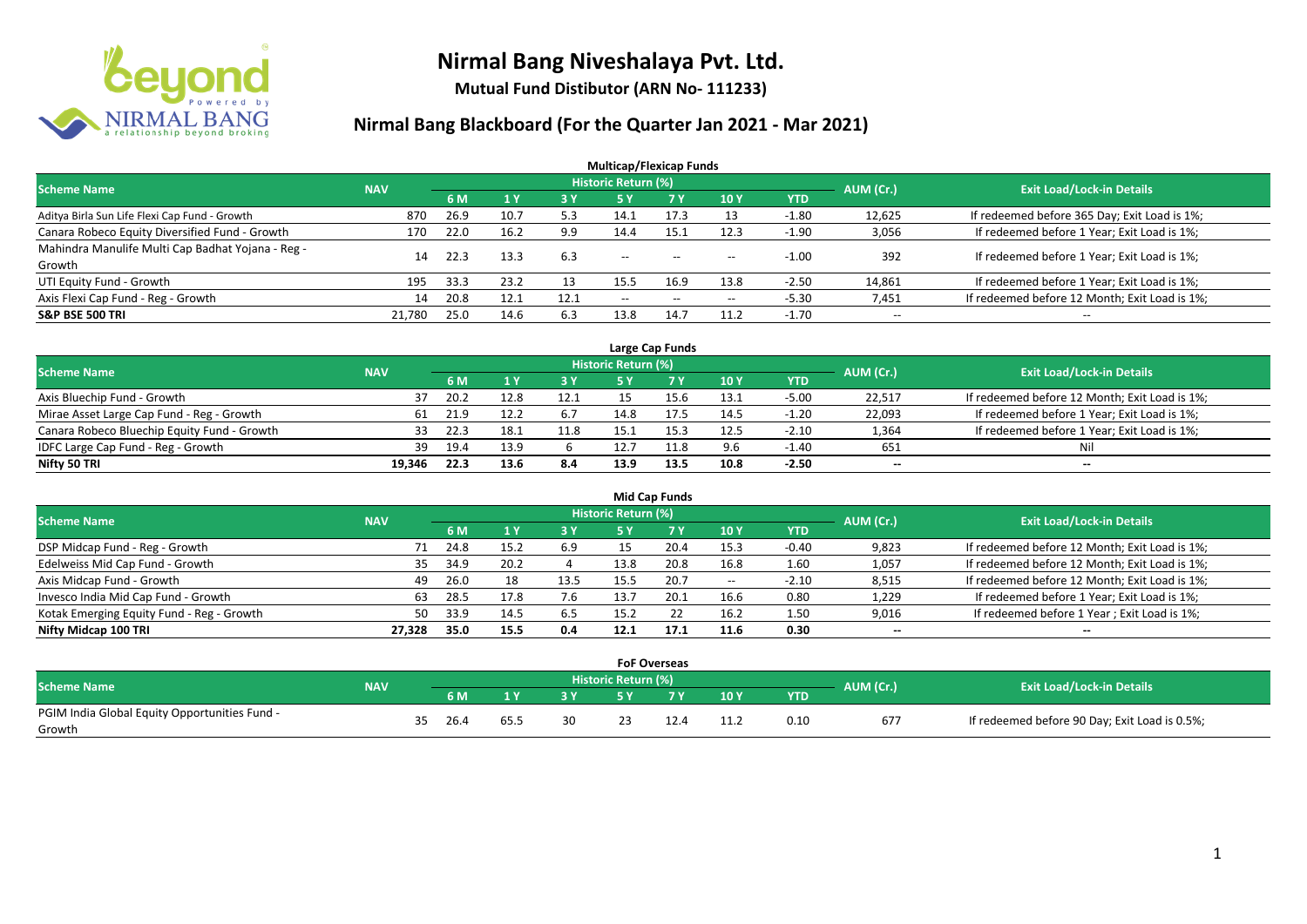

**Mutual Fund Distibutor (ARN No- 111233)**

| <b>Multicap/Flexicap Funds</b>                    |            |      |      |      |                          |                                                |                                       |            |                          |                                               |  |  |  |  |
|---------------------------------------------------|------------|------|------|------|--------------------------|------------------------------------------------|---------------------------------------|------------|--------------------------|-----------------------------------------------|--|--|--|--|
| Scheme Name                                       | <b>NAV</b> |      |      |      | Historic Return (%)      |                                                |                                       |            | AUM (Cr.)                | <b>Exit Load/Lock-in Details</b>              |  |  |  |  |
|                                                   |            | 6 M  | 71 Y | 3 Y  | <b>5 Y</b>               | <b>77 Y</b>                                    | 10Y                                   | <b>YTD</b> |                          |                                               |  |  |  |  |
| Aditya Birla Sun Life Flexi Cap Fund - Growth     | 870        | 26.9 | 10.7 | 5.3  | 14.1                     | 17.3                                           | 13                                    | $-1.80$    | 12,625                   | If redeemed before 365 Day; Exit Load is 1%;  |  |  |  |  |
| Canara Robeco Equity Diversified Fund - Growth    | 170        | 22.0 | 16.2 | 9.9  | 14.4                     | 15.1                                           | 12.3                                  | $-1.90$    | 3,056                    | If redeemed before 1 Year; Exit Load is 1%;   |  |  |  |  |
| Mahindra Manulife Multi Cap Badhat Yojana - Reg - | 14         | 22.3 | 13.3 | 6.3  | $\hspace{0.05cm} \ldots$ | $\hspace{0.1mm}-\hspace{0.1mm}-\hspace{0.1mm}$ |                                       | $-1.00$    | 392                      | If redeemed before 1 Year; Exit Load is 1%;   |  |  |  |  |
| Growth                                            |            |      |      |      |                          |                                                | $\hspace{0.05cm} \ldots$              |            |                          |                                               |  |  |  |  |
| UTI Equity Fund - Growth                          | 195        | 33.3 | 23.2 | 13   | 15.5                     | 16.9                                           | 13.8                                  | $-2.50$    | 14,861                   | If redeemed before 1 Year; Exit Load is 1%;   |  |  |  |  |
| Axis Flexi Cap Fund - Reg - Growth                | 14         | 20.8 | 12.1 | 12.1 | $-$                      | $- -$                                          | $\hspace{0.05cm}$ – $\hspace{0.05cm}$ | $-5.30$    | 7,451                    | If redeemed before 12 Month; Exit Load is 1%; |  |  |  |  |
| <b>S&amp;P BSE 500 TRI</b>                        | 21,780     | 25.0 | 14.6 | 6.3  | 13.8                     | 14.7                                           | 11.2                                  | $-1.70$    | $\overline{\phantom{a}}$ | $\hspace{0.05cm} \ldots$                      |  |  |  |  |

| Large Cap Funds                             |            |      |      |      |                     |      |      |            |                          |                                               |  |  |  |  |
|---------------------------------------------|------------|------|------|------|---------------------|------|------|------------|--------------------------|-----------------------------------------------|--|--|--|--|
| <b>Scheme Name</b>                          | <b>NAV</b> |      |      |      | Historic Return (%) |      |      |            | AUM (Cr.)                | <b>Exit Load/Lock-in Details</b>              |  |  |  |  |
|                                             |            | 6 M  |      | 3Y   |                     | 7 Y  | 10Y  | <b>YTD</b> |                          |                                               |  |  |  |  |
| Axis Bluechip Fund - Growth                 |            | 20.2 |      | 12.1 |                     |      | 13.1 | $-5.00$    | 22.517                   | If redeemed before 12 Month; Exit Load is 1%; |  |  |  |  |
| Mirae Asset Large Cap Fund - Reg - Growth   | 61         | 21.9 |      | 6.7  | 14.8                | 17.5 | 14.5 | $-1.20$    | 22,093                   | If redeemed before 1 Year; Exit Load is 1%;   |  |  |  |  |
| Canara Robeco Bluechip Equity Fund - Growth | 33         | 32.3 | 18.1 | 11.8 | 15.1                |      | 12.5 | $-2.10$    | 1,364                    | If redeemed before 1 Year; Exit Load is 1%;   |  |  |  |  |
| IDFC Large Cap Fund - Reg - Growth          | 39         | 19.4 | 13.9 |      | 12.7                | 11.8 | 9.6  | $-1.40$    | 651                      | Nil                                           |  |  |  |  |
| Nifty 50 TRI                                | 19.346     | 22.3 | 13.6 | 8.4  | 13.9                | 13.5 | 10.8 | $-2.50$    | $\overline{\phantom{a}}$ | $- -$                                         |  |  |  |  |

| <b>Mid Cap Funds</b>                      |            |                                  |      |      |      |      |                                       |            |                 |                                               |  |  |  |  |
|-------------------------------------------|------------|----------------------------------|------|------|------|------|---------------------------------------|------------|-----------------|-----------------------------------------------|--|--|--|--|
| <b>Scheme Name</b>                        | AUM (Cr.)  | <b>Exit Load/Lock-in Details</b> |      |      |      |      |                                       |            |                 |                                               |  |  |  |  |
|                                           | <b>NAV</b> | 6 M                              |      | 3 Y  | '5 Y | 7 Y  | 10Y                                   | <b>YTD</b> |                 |                                               |  |  |  |  |
| DSP Midcap Fund - Reg - Growth            | 71         | 24.8                             | 15.2 | 6.9  | 15   | 20.4 | 15.3                                  | $-0.40$    | 9,823           | If redeemed before 12 Month; Exit Load is 1%; |  |  |  |  |
| Edelweiss Mid Cap Fund - Growth           | 35         | 34.9                             | 20.2 |      | 13.8 | 20.8 | 16.8                                  | 1.60       | 1,057           | If redeemed before 12 Month; Exit Load is 1%; |  |  |  |  |
| Axis Midcap Fund - Growth                 | 49         | 26.0                             | 18   | 13.5 | 15.5 | 20.7 | $\hspace{0.05cm}$ – $\hspace{0.05cm}$ | $-2.10$    | 8,515           | If redeemed before 12 Month; Exit Load is 1%; |  |  |  |  |
| Invesco India Mid Cap Fund - Growth       | 63         | 28.5                             | 17.8 | 7.6  | 13.7 | 20.1 | 16.6                                  | 0.80       | 1,229           | If redeemed before 1 Year; Exit Load is 1%;   |  |  |  |  |
| Kotak Emerging Equity Fund - Reg - Growth | 50         | 33.9                             | 14.5 | 6.5  | 15.2 |      | 16.2                                  | 1.50       | 9,016           | If redeemed before 1 Year; Exit Load is 1%;   |  |  |  |  |
| Nifty Midcap 100 TRI                      | 27,328     | 35.0                             | 15.5 | 0.4  | 12.1 | 17.1 | 11.6                                  | 0.30       | $\qquad \qquad$ | --                                            |  |  |  |  |

|                                               |            |    |      |      |    | <b>FoF Overseas</b> |      |      |           |                                               |
|-----------------------------------------------|------------|----|------|------|----|---------------------|------|------|-----------|-----------------------------------------------|
| <b>Scheme Name</b>                            | <b>NAV</b> |    |      |      |    | Historic Return (%) |      |      | AUM (Cr.) | <b>Exit Load/Lock-in Details</b>              |
|                                               |            |    | 6 M  |      |    | <b>EV</b>           | 10Y  | YTD  |           |                                               |
| PGIM India Global Equity Opportunities Fund - |            | 35 | 26.4 |      | 30 |                     | 11.2 | 0.10 | 677       | If redeemed before 90 Day; Exit Load is 0.5%; |
| Growth                                        |            |    |      | 65.5 |    |                     |      |      |           |                                               |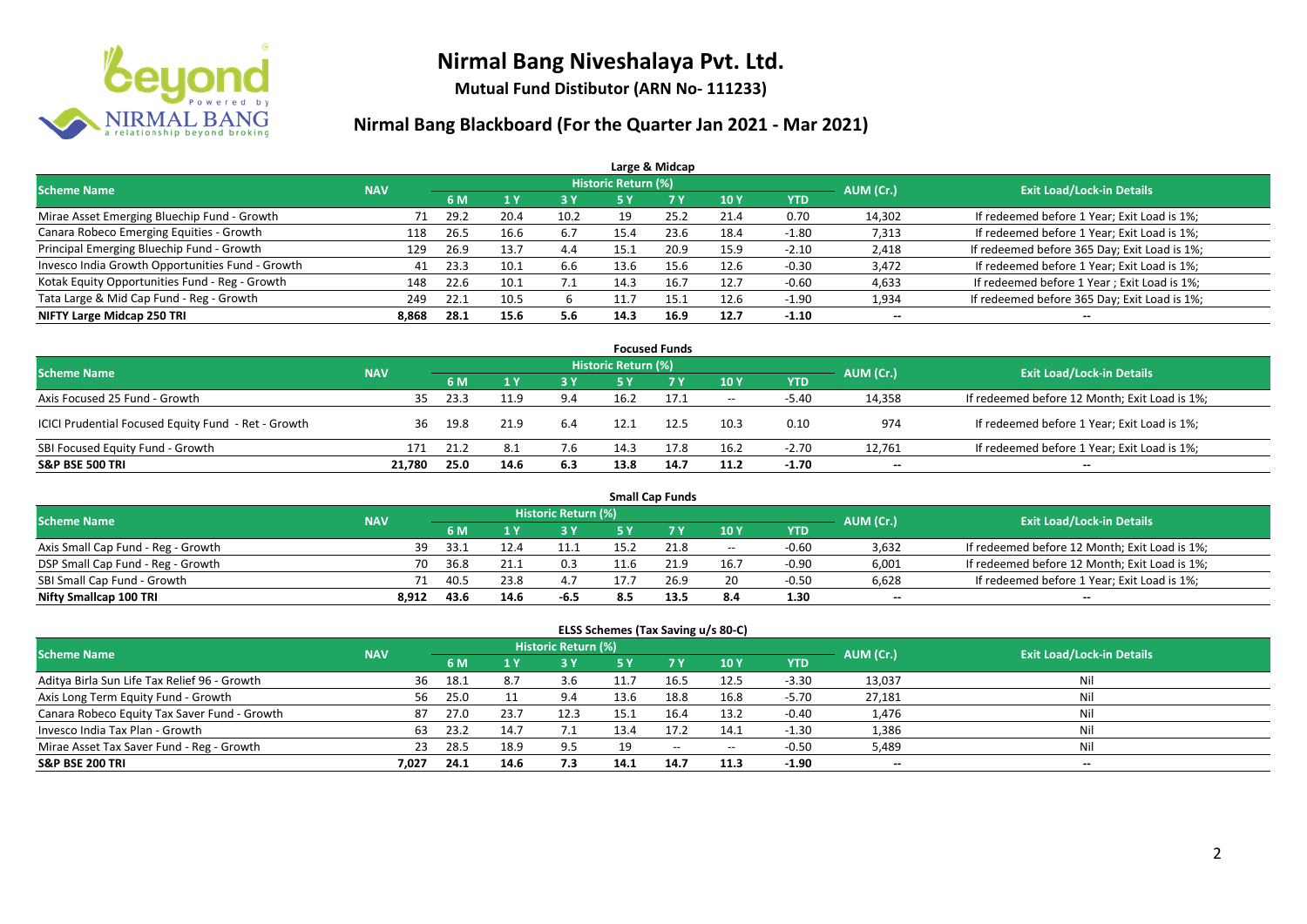

**Mutual Fund Distibutor (ARN No- 111233)**

#### **Nirmal Bang Blackboard (For the Quarter Jan 2021 - Mar 2021)**

| Large & Midcap                                   |            |      |              |      |                     |           |            |            |           |                                              |  |  |  |
|--------------------------------------------------|------------|------|--------------|------|---------------------|-----------|------------|------------|-----------|----------------------------------------------|--|--|--|
| <b>Scheme Name</b>                               | <b>NAV</b> |      |              |      | Historic Return (%) |           |            |            | AUM (Cr.) | <b>Exit Load/Lock-in Details</b>             |  |  |  |
|                                                  |            | 6 M  | $\sqrt{1}$ Y | 73 Y | 5 Y                 | <b>7Y</b> | <b>10Y</b> | <b>YTD</b> |           |                                              |  |  |  |
| Mirae Asset Emerging Bluechip Fund - Growth      | 71         | 29.2 | 20.4         | 10.2 | 19                  | 25.2      | 21.4       | 0.70       | 14,302    | If redeemed before 1 Year; Exit Load is 1%;  |  |  |  |
| Canara Robeco Emerging Equities - Growth         | 118        | 26.5 | 16.6         | 6.7  | 15.4                | 23.6      | 18.4       | $-1.80$    | 7,313     | If redeemed before 1 Year; Exit Load is 1%;  |  |  |  |
| Principal Emerging Bluechip Fund - Growth        | 129        | 26.9 | 13.7         | 4.4  | 15.1                | 20.9      | 15.9       | $-2.10$    | 2,418     | If redeemed before 365 Day; Exit Load is 1%; |  |  |  |
| Invesco India Growth Opportunities Fund - Growth | 41         | 23.3 | 10.1         | 6.6  | 13.6                | 15.6      | 12.6       | $-0.30$    | 3,472     | If redeemed before 1 Year; Exit Load is 1%;  |  |  |  |
| Kotak Equity Opportunities Fund - Reg - Growth   | 148        | 22.6 | 10.1         | 7.1  | 14.3                | 16.7      | 12.7       | $-0.60$    | 4,633     | If redeemed before 1 Year; Exit Load is 1%;  |  |  |  |
| Tata Large & Mid Cap Fund - Reg - Growth         | 249        | 22.1 | 10.5         |      |                     | 15.1      | 12.6       | $-1.90$    | 1,934     | If redeemed before 365 Day; Exit Load is 1%; |  |  |  |
| NIFTY Large Midcap 250 TRI                       | 8,868      | 28.1 | 15.6         | 5.6  | 14.3                | 16.9      | 12.7       | $-1.10$    | $- -$     | $- -$                                        |  |  |  |

| <b>Focused Funds</b>                                |            |      |      |     |                     |           |      |            |              |                                               |  |  |  |
|-----------------------------------------------------|------------|------|------|-----|---------------------|-----------|------|------------|--------------|-----------------------------------------------|--|--|--|
| <b>Scheme Name</b>                                  | <b>NAV</b> |      |      |     | Historic Return (%) |           |      |            | AUM (Cr.)    | <b>Exit Load/Lock-in Details</b>              |  |  |  |
|                                                     |            | 6 M  |      | 3 Y |                     | <b>7Y</b> | 10Y  | <b>YTD</b> |              |                                               |  |  |  |
| Axis Focused 25 Fund - Growth                       | 35         | 23.3 | 11.9 | 9.4 | 16.2                | 17.1      | $ -$ | $-5.40$    | 14,358       | If redeemed before 12 Month; Exit Load is 1%; |  |  |  |
| ICICI Prudential Focused Equity Fund - Ret - Growth | 36         | 19.8 | 21.9 | 6.4 | 12.1                | 12.5      | 10.3 | 0.10       | 974          | If redeemed before 1 Year; Exit Load is 1%;   |  |  |  |
| SBI Focused Equity Fund - Growth                    | 171        | 21.2 | -8.1 | 7.6 | 14.3                | 17.8      | 16.2 | $-2.70$    | 12,761       | If redeemed before 1 Year; Exit Load is 1%;   |  |  |  |
| <b>S&amp;P BSE 500 TRI</b>                          | 21,780     | 25.0 | 14.6 | 6.3 | 13.8                | 14.7      | 11.2 | -1.70      | $\mathbf{u}$ | $\overline{\phantom{a}}$                      |  |  |  |

| <b>Small Cap Funds</b>             |            |           |                                  |        |      |      |                          |            |                          |                                               |  |  |  |
|------------------------------------|------------|-----------|----------------------------------|--------|------|------|--------------------------|------------|--------------------------|-----------------------------------------------|--|--|--|
| <b>Scheme Name</b>                 | <b>NAV</b> | AUM (Cr.) | <b>Exit Load/Lock-in Details</b> |        |      |      |                          |            |                          |                                               |  |  |  |
|                                    |            | 6 M       |                                  | 3 Y    | 5V   |      | 10Y                      | <b>YTD</b> |                          |                                               |  |  |  |
| Axis Small Cap Fund - Reg - Growth | 39         | -33.1     | 12.4                             |        |      | 21.8 | $\overline{\phantom{a}}$ | $-0.60$    | 3,632                    | If redeemed before 12 Month; Exit Load is 1%; |  |  |  |
| DSP Small Cap Fund - Reg - Growth  | 70         | 36.8      | 21.1                             | 0.3    | 11.6 |      | 16.7                     | $-0.90$    | 6,001                    | If redeemed before 12 Month; Exit Load is 1%; |  |  |  |
| SBI Small Cap Fund - Growth        | 71         | 40.5      | 23.8                             | 4.7    | 17.  | 26.9 | 20                       | $-0.50$    | 6,628                    | If redeemed before 1 Year; Exit Load is 1%;   |  |  |  |
| Nifty Smallcap 100 TRI             | 8.912      | 43.6      | 14.6                             | $-6.5$ |      | 13.5 | 8.4                      | 1.30       | $\overline{\phantom{a}}$ | $- -$                                         |  |  |  |

#### **ELSS Schemes (Tax Saving u/s 80-C)**

| <b>Scheme Name</b>                           | <b>NAV</b> |      |      | Historic Return (%) |      |            |       |            | AUM (Cr.) | <b>Exit Load/Lock-in Details</b> |
|----------------------------------------------|------------|------|------|---------------------|------|------------|-------|------------|-----------|----------------------------------|
|                                              |            | 6 M  |      | 3 Y                 |      | <b>7 Y</b> | 10Y   | <b>YTD</b> |           |                                  |
| Aditya Birla Sun Life Tax Relief 96 - Growth | 36         | 18.1 | 8.7  | 3.b                 |      | 16.5       | 12.5  | $-3.30$    | 13,037    | -Nil                             |
| Axis Long Term Equity Fund - Growth          | 56         | 25.0 |      | 9.4                 | 13.6 | 18.8       | 16.8  | $-5.70$    | 27,181    | Nil                              |
| Canara Robeco Equity Tax Saver Fund - Growth | 87         | 27.0 | 23.7 | 12.3                | 15.1 | 16.4       | 13.2  | $-0.40$    | 1,476     | Nil                              |
| Invesco India Tax Plan - Growth              | 63         | 23.2 | 14.7 |                     | 13.4 |            | 14.1  | $-1.30$    | 1,386     | Nil                              |
| Mirae Asset Tax Saver Fund - Reg - Growth    | 23         | 28.5 | 18.9 | 9.5                 | 19   | $- -$      | $- -$ | $-0.50$    | 5,489     | Nil                              |
| <b>S&amp;P BSE 200 TRI</b>                   | 7.027      | 24.1 | 14.6 | 7.3                 | 14.1 | 14.7       | 11.3  | $-1.90$    | $\sim$    | $- -$                            |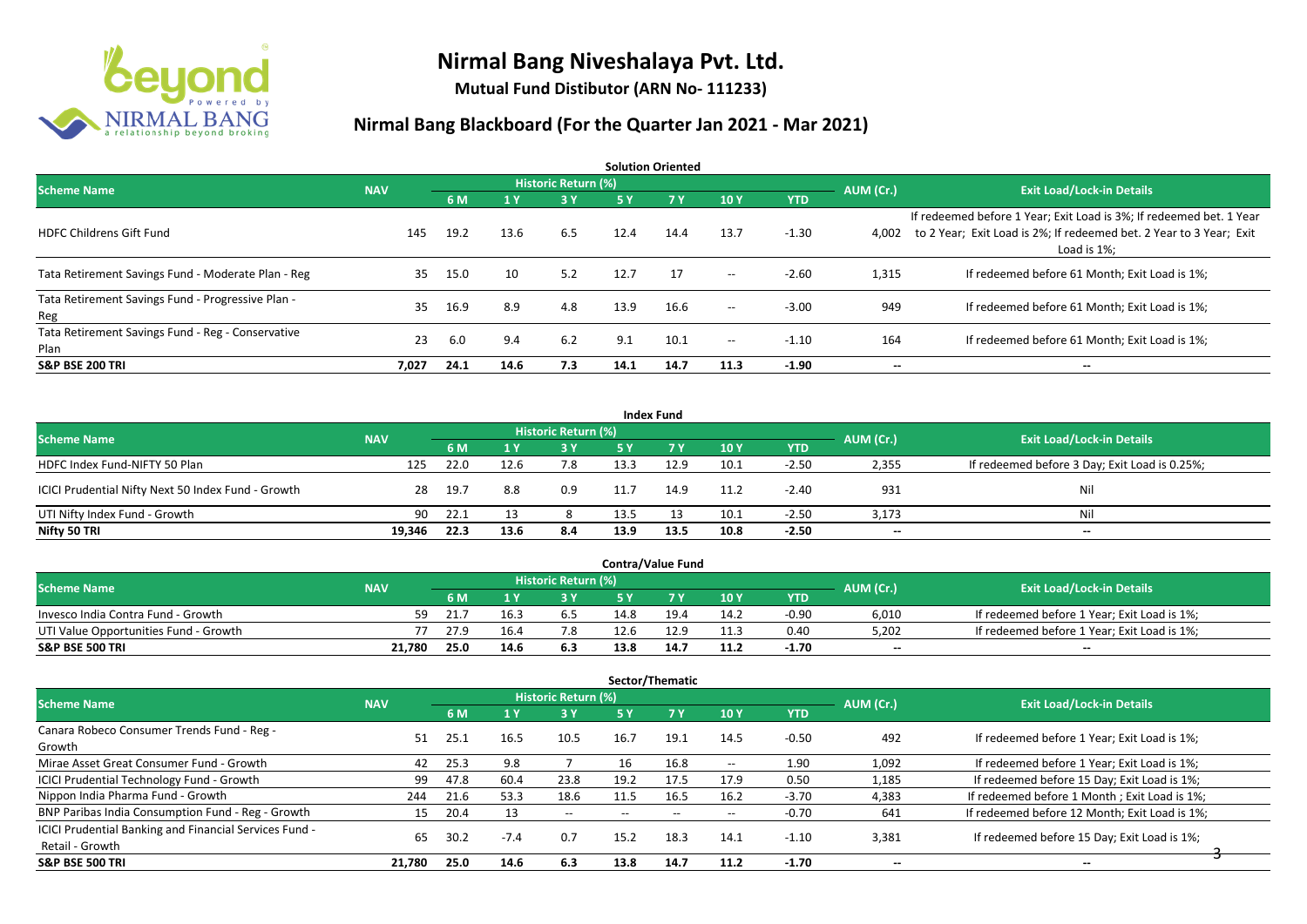

**Mutual Fund Distibutor (ARN No- 111233)**

| <b>Solution Oriented</b>                                  |            |      |      |                            |      |           |                                       |            |                          |                                                                                                                                                           |  |  |  |
|-----------------------------------------------------------|------------|------|------|----------------------------|------|-----------|---------------------------------------|------------|--------------------------|-----------------------------------------------------------------------------------------------------------------------------------------------------------|--|--|--|
| <b>Scheme Name</b>                                        | <b>NAV</b> |      |      | <b>Historic Return (%)</b> |      |           |                                       |            | AUM (Cr.)                | <b>Exit Load/Lock-in Details</b>                                                                                                                          |  |  |  |
|                                                           |            | 6 M  | 1 Y  | <b>3Y</b>                  | 5 Y  | <b>7Y</b> | 10Y                                   | <b>YTD</b> |                          |                                                                                                                                                           |  |  |  |
| <b>HDFC Childrens Gift Fund</b>                           | 145        | 19.2 | 13.6 | 6.5                        | 12.4 | 14.4      | 13.7                                  | $-1.30$    | 4,002                    | If redeemed before 1 Year; Exit Load is 3%; If redeemed bet. 1 Year<br>to 2 Year; Exit Load is 2%; If redeemed bet. 2 Year to 3 Year; Exit<br>Load is 1%; |  |  |  |
| Tata Retirement Savings Fund - Moderate Plan - Reg        | 35         | 15.0 | 10   | 5.2                        | 12.7 | 17        | $--$                                  | $-2.60$    | 1,315                    | If redeemed before 61 Month; Exit Load is 1%;                                                                                                             |  |  |  |
| Tata Retirement Savings Fund - Progressive Plan -<br>Reg  | 35         | 16.9 | 8.9  | 4.8                        | 13.9 | 16.6      | $- -$                                 | $-3.00$    | 949                      | If redeemed before 61 Month; Exit Load is 1%;                                                                                                             |  |  |  |
| Tata Retirement Savings Fund - Reg - Conservative<br>Plan | 23         | 6.0  | 9.4  | 6.2                        | 9.1  | 10.1      | $\hspace{0.05cm}$ – $\hspace{0.05cm}$ | $-1.10$    | 164                      | If redeemed before 61 Month; Exit Load is 1%;                                                                                                             |  |  |  |
| <b>S&amp;P BSE 200 TRI</b>                                | 7,027      | 24.1 | 14.6 | 7.3                        | 14.1 | 14.7      | 11.3                                  | $-1.90$    | $\overline{\phantom{a}}$ | $\overline{\phantom{a}}$                                                                                                                                  |  |  |  |

| <b>Index Fund</b>                                  |            |              |      |                            |      |      |      |            |                          |                                               |  |  |  |
|----------------------------------------------------|------------|--------------|------|----------------------------|------|------|------|------------|--------------------------|-----------------------------------------------|--|--|--|
| <b>Scheme Name</b>                                 | <b>NAV</b> |              |      | <b>Historic Return (%)</b> |      |      |      |            | AUM (Cr.)                | <b>Exit Load/Lock-in Details</b>              |  |  |  |
|                                                    |            | 6 M          |      | 3 Y                        | 5 Y  |      | 10Y  | <b>YTD</b> |                          |                                               |  |  |  |
| HDFC Index Fund-NIFTY 50 Plan                      |            | 22.0<br>125  | 12.6 | 7.8                        | 13.3 | 12.9 | 10.1 | $-2.50$    | 2,355                    | If redeemed before 3 Day; Exit Load is 0.25%; |  |  |  |
| ICICI Prudential Nifty Next 50 Index Fund - Growth |            | - 19.7<br>28 | 8.8  | 0.9                        | 11.7 | 14.9 | 11.2 | $-2.40$    | 931                      | Nil                                           |  |  |  |
| UTI Nifty Index Fund - Growth                      |            | 22.1<br>90   |      |                            | 13.5 |      | 10.1 | $-2.50$    | 3,173                    | Nil                                           |  |  |  |
| Nifty 50 TRI                                       | 19,346     | 22.3         | 13.6 | 8.4                        | 13.9 | 13.5 | 10.8 | $-2.50$    | $\overline{\phantom{a}}$ | $\overline{\phantom{a}}$                      |  |  |  |

| <b>Contra/Value Fund</b>              |            |      |      |                            |      |      |      |         |           |                                             |  |  |
|---------------------------------------|------------|------|------|----------------------------|------|------|------|---------|-----------|---------------------------------------------|--|--|
| <b>Scheme Name</b>                    | <b>NAV</b> |      |      | <b>Historic Return (%)</b> |      |      |      |         | AUM (Cr.) | <b>Exit Load/Lock-in Details</b>            |  |  |
|                                       |            | 6 M  |      | 3 Y                        |      |      | 10Y  | YTD     |           |                                             |  |  |
| Invesco India Contra Fund - Growth    | 59         | 21.7 | 16.3 | 6.5                        | 14.8 | 19.4 | 14.2 | $-0.90$ | 6,010     | If redeemed before 1 Year; Exit Load is 1%; |  |  |
| UTI Value Opportunities Fund - Growth |            | 27.9 | 16.4 | 7.8                        |      |      | 11.3 | 0.40    | 5,202     | If redeemed before 1 Year; Exit Load is 1%; |  |  |
| S&P BSE 500 TRI                       | 21,780     | 25.0 | 14.6 | 6.3                        | 13.8 | 14.7 | 11.2 | $-1.70$ | $- -$     | $- -$                                       |  |  |

|                                                                           |            |      |              |                            |                          | Sector/Thematic          |                                       |            |           |                                               |
|---------------------------------------------------------------------------|------------|------|--------------|----------------------------|--------------------------|--------------------------|---------------------------------------|------------|-----------|-----------------------------------------------|
| <b>Scheme Name</b>                                                        | <b>NAV</b> |      |              | <b>Historic Return (%)</b> |                          |                          |                                       |            | AUM (Cr.) | <b>Exit Load/Lock-in Details</b>              |
|                                                                           |            | 6 M  | $\sqrt{1}$ Y | 73 Y.                      | 5 Y                      | 7 Y                      | 10Y                                   | <b>YTD</b> |           |                                               |
| Canara Robeco Consumer Trends Fund - Reg -<br>Growth                      | 51         | 25.1 | 16.5         | 10.5                       | 16.7                     | 19.1                     | 14.5                                  | $-0.50$    | 492       | If redeemed before 1 Year; Exit Load is 1%;   |
| Mirae Asset Great Consumer Fund - Growth                                  | 42         | 25.3 | 9.8          |                            | 16                       | 16.8                     | $\hspace{0.05cm}$ – $\hspace{0.05cm}$ | 1.90       | 1,092     | If redeemed before 1 Year; Exit Load is 1%;   |
| ICICI Prudential Technology Fund - Growth                                 | 99         | 47.8 | 60.4         | 23.8                       | 19.2                     | 17.5                     | 17.9                                  | 0.50       | 1,185     | If redeemed before 15 Day; Exit Load is 1%;   |
| Nippon India Pharma Fund - Growth                                         | 244        | 21.6 | 53.3         | 18.6                       | 11.5                     | 16.5                     | 16.2                                  | $-3.70$    | 4,383     | If redeemed before 1 Month; Exit Load is 1%;  |
| BNP Paribas India Consumption Fund - Reg - Growth                         | 15         | 20.4 | 13           | $- -$                      | $\overline{\phantom{a}}$ | $\overline{\phantom{a}}$ | $- -$                                 | $-0.70$    | 641       | If redeemed before 12 Month; Exit Load is 1%; |
| ICICI Prudential Banking and Financial Services Fund -<br>Retail - Growth | 65         | 30.2 | $-7.4$       | 0.7                        | 15.2                     | 18.3                     | 14.1                                  | $-1.10$    | 3,381     | If redeemed before 15 Day; Exit Load is 1%;   |
| <b>S&amp;P BSE 500 TRI</b>                                                | 21,780     | 25.0 | 14.6         | 6.3                        | 13.8                     | 14.7                     | 11.2                                  | $-1.70$    | $-$       | $\overline{\phantom{a}}$                      |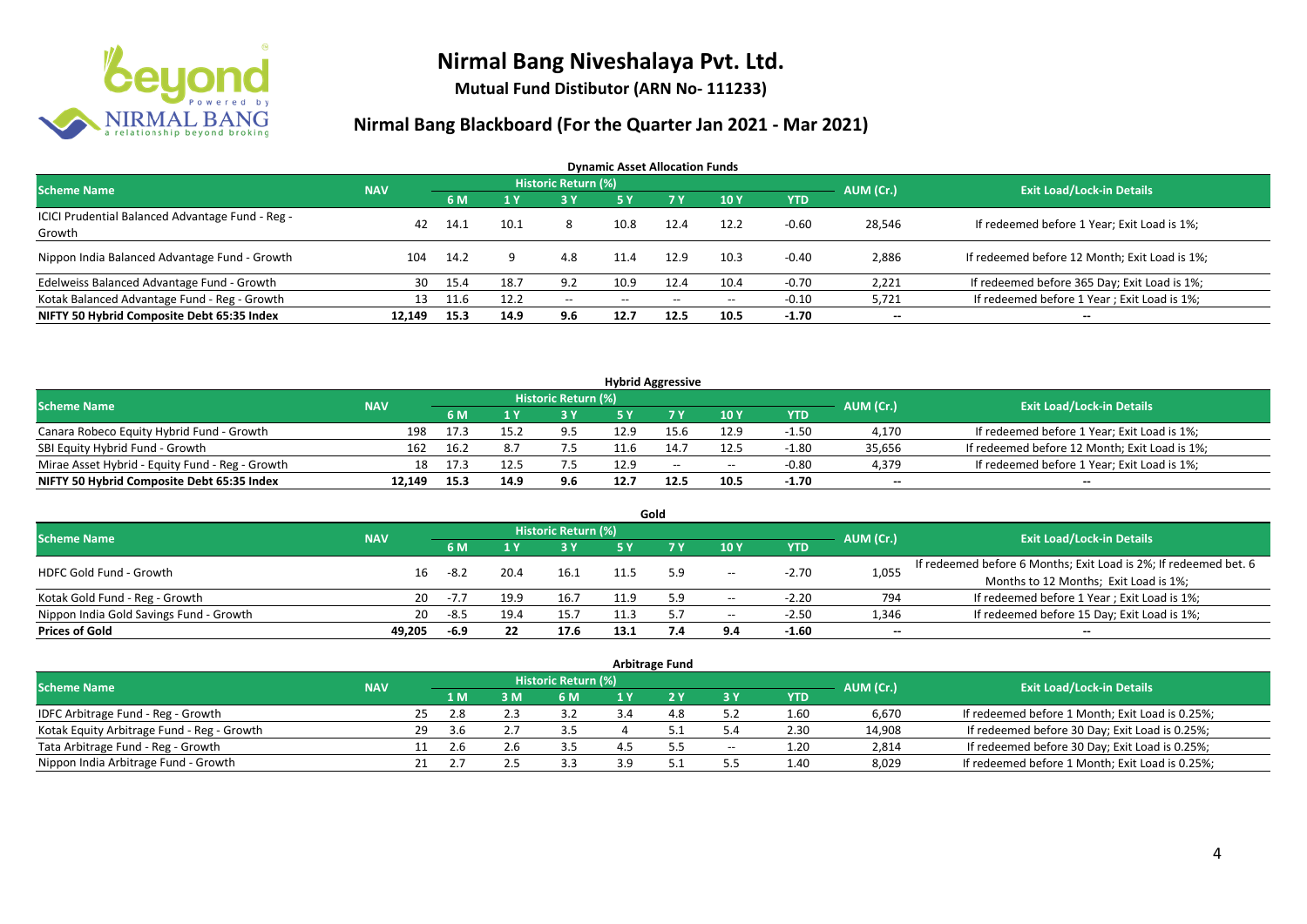

**Mutual Fund Distibutor (ARN No- 111233)**

| <b>Dynamic Asset Allocation Funds</b>            |            |      |      |                            |                          |           |                                       |            |           |                                               |  |  |  |
|--------------------------------------------------|------------|------|------|----------------------------|--------------------------|-----------|---------------------------------------|------------|-----------|-----------------------------------------------|--|--|--|
| <b>Scheme Name</b>                               | <b>NAV</b> |      |      | <b>Historic Return (%)</b> |                          |           |                                       |            | AUM (Cr.) | <b>Exit Load/Lock-in Details</b>              |  |  |  |
|                                                  |            | 6 M  |      | <b>73 YZ</b>               | 5 Y                      | <b>7Y</b> | 10Y                                   | <b>YTD</b> |           |                                               |  |  |  |
| ICICI Prudential Balanced Advantage Fund - Reg - | 42         | 14.1 |      |                            | 10.8                     | 12.4      | 12.2                                  | $-0.60$    |           | If redeemed before 1 Year; Exit Load is 1%;   |  |  |  |
| Growth                                           |            |      | 10.1 | 8                          |                          |           |                                       |            | 28,546    |                                               |  |  |  |
| Nippon India Balanced Advantage Fund - Growth    | 104        | 14.2 |      | 4.8                        | 11.4                     | 12.9      | 10.3                                  | -0.40      | 2,886     | If redeemed before 12 Month; Exit Load is 1%; |  |  |  |
| Edelweiss Balanced Advantage Fund - Growth       | 30         | 15.4 | 18.7 | 9.2                        | 10.9                     | 12.4      | 10.4                                  | $-0.70$    | 2,221     | If redeemed before 365 Day; Exit Load is 1%;  |  |  |  |
| Kotak Balanced Advantage Fund - Reg - Growth     | 13         | 11.6 | 12.2 | $- -$                      | $\hspace{0.05cm} \cdots$ | $- -$     | $\hspace{0.05cm}$ – $\hspace{0.05cm}$ | $-0.10$    | 5,721     | If redeemed before 1 Year; Exit Load is 1%;   |  |  |  |
| NIFTY 50 Hybrid Composite Debt 65:35 Index       | 12,149     | 15.3 | 14.9 | 9.6                        | 12.7                     | 12.5      | 10.5                                  | $-1.70$    | $- -$     | $- -$                                         |  |  |  |

| <b>Hybrid Aggressive</b>                        |            |      |      |                            |      |       |       |            |              |                                               |  |  |  |
|-------------------------------------------------|------------|------|------|----------------------------|------|-------|-------|------------|--------------|-----------------------------------------------|--|--|--|
| Scheme Name                                     | <b>NAV</b> |      |      | <b>Historic Return (%)</b> |      |       |       |            | AUM (Cr.)    | <b>Exit Load/Lock-in Details</b>              |  |  |  |
|                                                 |            | 6 M  |      | 3 Y                        |      |       | 10Y   | <b>YTD</b> |              |                                               |  |  |  |
| Canara Robeco Equity Hybrid Fund - Growth       | 198        | 17.3 |      | 9.5                        | 12.9 |       | 12.9  | $-1.50$    | 4,170        | If redeemed before 1 Year; Exit Load is 1%;   |  |  |  |
| SBI Equity Hybrid Fund - Growth                 | 162        | 16.2 |      |                            |      |       | 12.5  | $-1.80$    | 35,656       | If redeemed before 12 Month; Exit Load is 1%; |  |  |  |
| Mirae Asset Hybrid - Equity Fund - Reg - Growth | 18         | 17.3 |      |                            | 12.9 | $- -$ | $- -$ | $-0.80$    | 4,379        | If redeemed before 1 Year; Exit Load is 1%;   |  |  |  |
| NIFTY 50 Hybrid Composite Debt 65:35 Index      | 12.149     | 15.3 | 14.9 | 9.6                        | 12.7 |       | 10.5  | $-1.70$    | $\mathbf{u}$ | $\sim$                                        |  |  |  |

|                                         |            |        |      |      |           | Gold                             |                          |            |       |                                                                  |
|-----------------------------------------|------------|--------|------|------|-----------|----------------------------------|--------------------------|------------|-------|------------------------------------------------------------------|
| <b>Scheme Name</b>                      | <b>NAV</b> |        |      |      | AUM (Cr.) | <b>Exit Load/Lock-in Details</b> |                          |            |       |                                                                  |
|                                         |            |        |      | 3 Y  | 5 Y       |                                  | 10Y                      | <b>YTD</b> |       |                                                                  |
| HDFC Gold Fund - Growth                 | 16         | -8.2   | 20.4 | 16.1 |           |                                  | $-\!$                    | $-2.70$    | 1,055 | If redeemed before 6 Months; Exit Load is 2%; If redeemed bet. 6 |
|                                         |            |        |      |      |           |                                  |                          |            |       | Months to 12 Months; Exit Load is 1%;                            |
| Kotak Gold Fund - Reg - Growth          | 20         | $-7.7$ | 19.9 | 16.7 | 11 ۵      |                                  | $\hspace{0.05cm} \ldots$ | $-2.20$    | 794   | If redeemed before 1 Year; Exit Load is 1%;                      |
| Nippon India Gold Savings Fund - Growth | 20         | -8.5   | 19.4 | 15.7 |           |                                  | $\hspace{0.05cm} \ldots$ | $-2.50$    | 1,346 | If redeemed before 15 Day; Exit Load is 1%;                      |
| <b>Prices of Gold</b>                   | 49.205     | -6.9   |      | 17.6 | 13.1      |                                  | 9.4                      | $-1.60$    | $- -$ | $\overline{\phantom{a}}$                                         |

| <b>Arbitrage Fund</b>                      |            |    |     |  |                     |    |  |       |            |           |                                                 |  |  |  |
|--------------------------------------------|------------|----|-----|--|---------------------|----|--|-------|------------|-----------|-------------------------------------------------|--|--|--|
| <b>Scheme Name</b>                         | <b>NAV</b> |    |     |  | Historic Return (%) |    |  |       |            | AUM (Cr.) | <b>Exit Load/Lock-in Details</b>                |  |  |  |
|                                            |            |    | 1 M |  | 6 M                 |    |  | 73 Y  | <b>YTD</b> |           |                                                 |  |  |  |
| IDFC Arbitrage Fund - Reg - Growth         |            | 25 |     |  | 3.2                 |    |  | 5.2   | 1.60       | 6,670     | If redeemed before 1 Month; Exit Load is 0.25%; |  |  |  |
| Kotak Equity Arbitrage Fund - Reg - Growth |            | 29 | 3.6 |  |                     |    |  | 5.4   | 2.30       | 14,908    | If redeemed before 30 Day; Exit Load is 0.25%;  |  |  |  |
| Tata Arbitrage Fund - Reg - Growth         |            |    |     |  | 3.5                 |    |  | $- -$ | 1.20       | 2,814     | If redeemed before 30 Day; Exit Load is 0.25%;  |  |  |  |
| Nippon India Arbitrage Fund - Growth       |            |    |     |  | 3.3                 | эa |  | 5.5   | 1.40       | 8,029     | If redeemed before 1 Month; Exit Load is 0.25%; |  |  |  |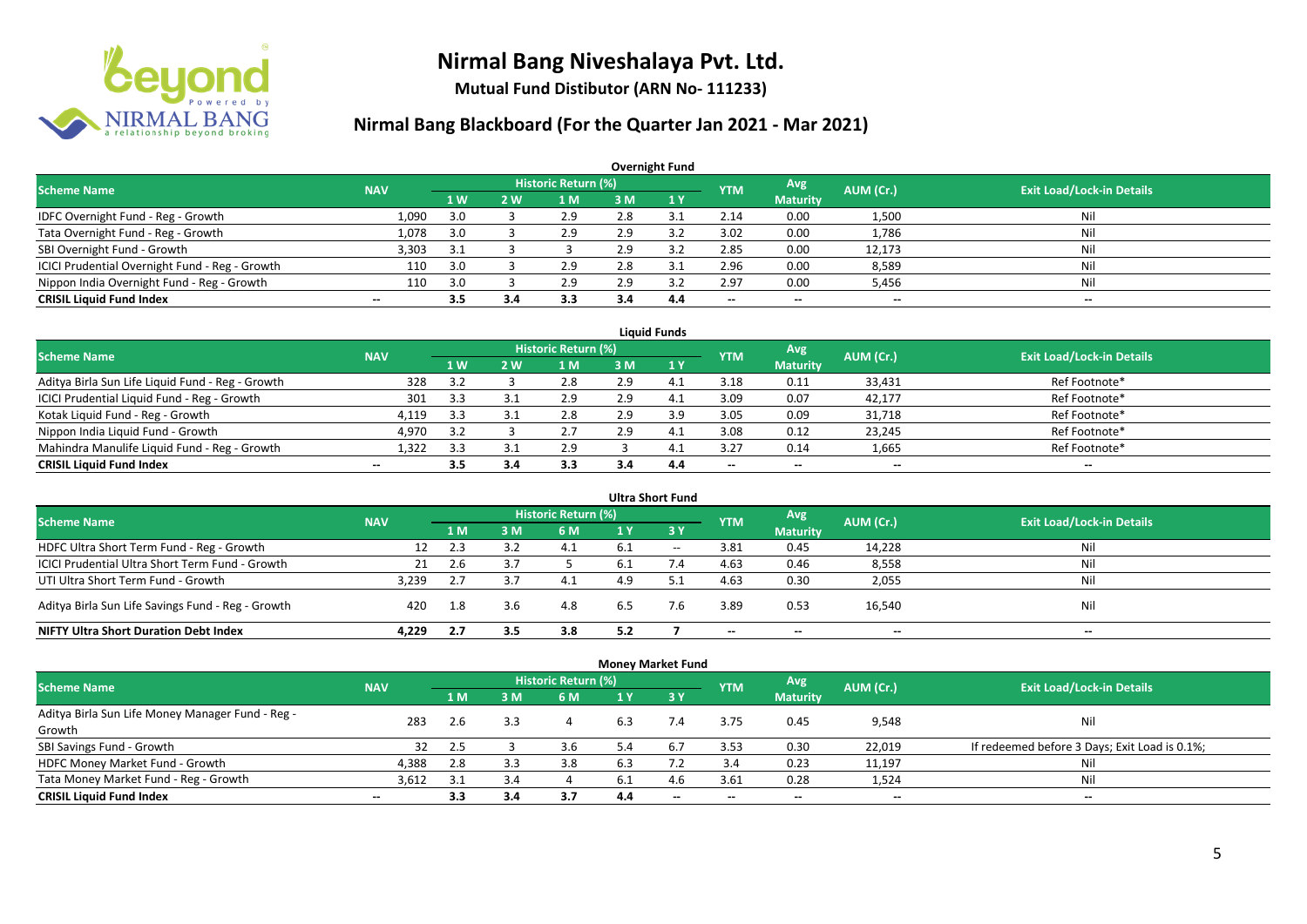

**Mutual Fund Distibutor (ARN No- 111233)**

| <b>Overnight Fund</b>                          |                          |           |            |                            |     |      |                          |                 |           |                                  |  |  |  |
|------------------------------------------------|--------------------------|-----------|------------|----------------------------|-----|------|--------------------------|-----------------|-----------|----------------------------------|--|--|--|
| <b>Scheme Name</b>                             | <b>NAV</b>               |           |            | <b>Historic Return (%)</b> |     |      | <b>YTM</b>               | Avg             | AUM (Cr.) | <b>Exit Load/Lock-in Details</b> |  |  |  |
|                                                |                          | <b>1W</b> | <b>2 W</b> | 1 M                        | 3 M | 71 Y |                          | <b>Maturity</b> |           |                                  |  |  |  |
| IDFC Overnight Fund - Reg - Growth             | 1,090                    | 3.0       |            | 2.9                        | 2.8 |      | 2.14                     | 0.00            | 1,500     | Nil                              |  |  |  |
| Tata Overnight Fund - Reg - Growth             | 1,078                    | 3.0       |            | 2.9                        | 2.9 |      | 3.02                     | 0.00            | 1,786     | Nil                              |  |  |  |
| SBI Overnight Fund - Growth                    | 3,303                    | 3.1       |            |                            | 2.9 |      | 2.85                     | 0.00            | 12,173    | Nil                              |  |  |  |
| ICICI Prudential Overnight Fund - Reg - Growth | 110                      | 3.0       |            | 2.9                        | 2.8 |      | 2.96                     | 0.00            | 8,589     | Nil                              |  |  |  |
| Nippon India Overnight Fund - Reg - Growth     | 110                      | 3.0       |            | 2.9                        | 2.9 |      | 2.97                     | 0.00            | 5,456     | Nil                              |  |  |  |
| <b>CRISIL Liquid Fund Index</b>                | $\overline{\phantom{a}}$ | 3.5       | 3.4        | 3.3                        | 3.4 | 4.4  | $\overline{\phantom{a}}$ | $\sim$          | $\sim$    | $\overline{\phantom{a}}$         |  |  |  |

| <b>Liauid Funds</b>                              |            |           |     |                     |     |      |                        |                 |                          |                                  |  |  |  |
|--------------------------------------------------|------------|-----------|-----|---------------------|-----|------|------------------------|-----------------|--------------------------|----------------------------------|--|--|--|
| <b>Scheme Name</b>                               | <b>NAV</b> |           |     | Historic Return (%) |     |      | <b>YTM</b>             | <b>Avg</b>      | AUM (Cr.)                | <b>Exit Load/Lock-in Details</b> |  |  |  |
|                                                  |            | <b>1W</b> | 2 W | 1 M                 | 3 M | 71 Y |                        | <b>Maturity</b> |                          |                                  |  |  |  |
| Aditya Birla Sun Life Liquid Fund - Reg - Growth | 328        | 3.2       |     | 2.8                 | 2.9 | 4.1  | 3.18                   | 0.11            | 33,431                   | Ref Footnote*                    |  |  |  |
| ICICI Prudential Liquid Fund - Reg - Growth      | 301        | 3.3       |     | 2.9                 | 2.9 | 4.1  | 3.09                   | 0.07            | 42,177                   | Ref Footnote*                    |  |  |  |
| Kotak Liquid Fund - Reg - Growth                 | 4,119      | 3.3       |     | 2.8                 | 2.9 | 3.9  | 3.05                   | 0.09            | 31,718                   | Ref Footnote*                    |  |  |  |
| Nippon India Liquid Fund - Growth                | 4,970      | 3.2       |     |                     | 2.9 | 4.1  | 3.08                   | 0.12            | 23,245                   | Ref Footnote*                    |  |  |  |
| Mahindra Manulife Liquid Fund - Reg - Growth     | 1,322      | 3.3       |     | 2.9                 |     | 4.1  | 3.27                   | 0.14            | 1,665                    | Ref Footnote*                    |  |  |  |
| <b>CRISIL Liquid Fund Index</b>                  | $\sim$     | 3.5       |     | 3.3                 |     | 4.4  | $\qquad \qquad \cdots$ | $\sim$          | $\overline{\phantom{a}}$ | $- -$                            |  |  |  |

| <b>Ultra Short Fund</b>                           |            |     |     |                     |     |       |            |                 |           |                                  |  |  |
|---------------------------------------------------|------------|-----|-----|---------------------|-----|-------|------------|-----------------|-----------|----------------------------------|--|--|
| <b>Scheme Name</b>                                | <b>NAV</b> |     |     | Historic Return (%) |     |       | <b>YTM</b> | <b>Avg</b>      | AUM (Cr.) | <b>Exit Load/Lock-in Details</b> |  |  |
|                                                   |            | 1 M | 3 M | 6 M                 |     | 3Y    |            | <b>Maturity</b> |           |                                  |  |  |
| HDFC Ultra Short Term Fund - Reg - Growth         | 12         | 2.3 |     | 4.1                 | 6.1 | $- -$ | 3.81       | 0.45            | 14,228    | Nil                              |  |  |
| ICICI Prudential Ultra Short Term Fund - Growth   | 21         | 2.6 |     |                     | 6.1 |       | 4.63       | 0.46            | 8,558     | Nil                              |  |  |
| UTI Ultra Short Term Fund - Growth                | 3,239      | 2.7 |     | 4.1                 | 4.9 |       | 4.63       | 0.30            | 2,055     | Nil                              |  |  |
| Aditya Birla Sun Life Savings Fund - Reg - Growth | 420        | 1.8 | 3.6 | 4.8                 | 6.5 | 7.6   | 3.89       | 0.53            | 16,540    | Nil                              |  |  |
| <b>NIFTY Ultra Short Duration Debt Index</b>      | 4.229      | 2.7 | 3.5 | 3.8                 | 5.2 |       | $\sim$     | $- -$           | $- -$     | $- -$                            |  |  |

| <b>Money Market Fund</b>                         |                          |     |     |                     |     |        |            |                 |                          |                                               |  |  |  |
|--------------------------------------------------|--------------------------|-----|-----|---------------------|-----|--------|------------|-----------------|--------------------------|-----------------------------------------------|--|--|--|
| <b>Scheme Name</b>                               | <b>NAV</b>               |     |     | Historic Return (%) |     |        | <b>YTM</b> | Avg             | AUM (Cr.)                | <b>Exit Load/Lock-in Details</b>              |  |  |  |
|                                                  |                          | 1 M | : M | 6 M                 |     | - 3 Y  |            | <b>Maturity</b> |                          |                                               |  |  |  |
| Aditya Birla Sun Life Money Manager Fund - Reg - | 283                      |     | 3.3 |                     | 6.3 | 7.4    | 3.75       | 0.45            | 9,548                    | Nil                                           |  |  |  |
| Growth                                           |                          | 2.6 |     |                     |     |        |            |                 |                          |                                               |  |  |  |
| SBI Savings Fund - Growth                        | 32                       | 2.5 |     | 3.6                 | 5.4 |        | 3.53       | 0.30            | 22,019                   | If redeemed before 3 Days; Exit Load is 0.1%; |  |  |  |
| HDFC Money Market Fund - Growth                  | 4,388                    | 2.8 |     | 3.8                 |     |        | 3.4        | 0.23            | 11,197                   | Nil                                           |  |  |  |
| Tata Money Market Fund - Reg - Growth            | 3,612                    | 3.1 |     |                     | 6.1 | 4.6    | 3.61       | 0.28            | 1,524                    | Nil                                           |  |  |  |
| <b>CRISIL Liquid Fund Index</b>                  | $\overline{\phantom{a}}$ | 3.3 | 3.4 | 3.7                 | 4.4 | $\sim$ | $- -$      | $- -$           | $\overline{\phantom{a}}$ | $\overline{\phantom{a}}$                      |  |  |  |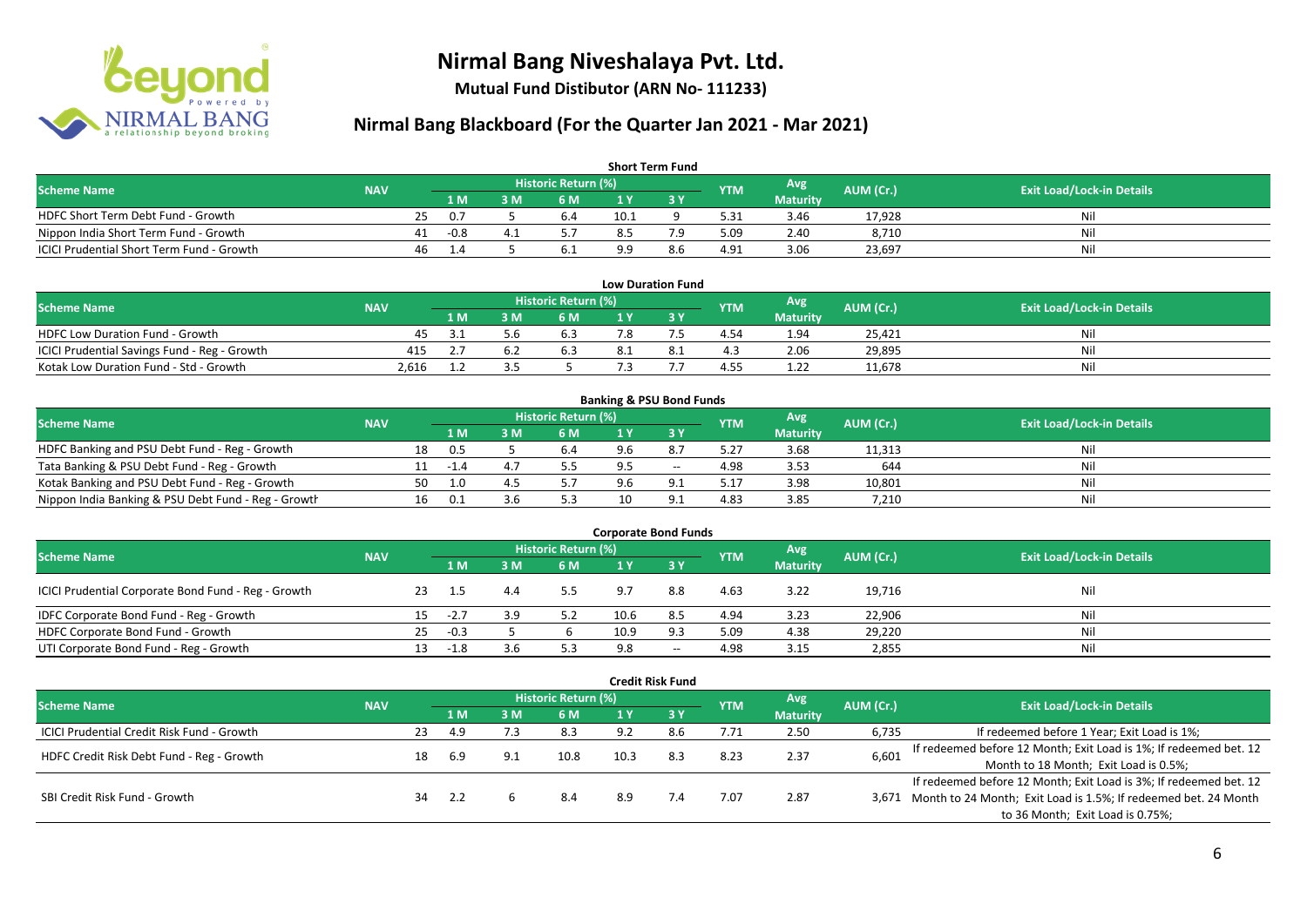

**Mutual Fund Distibutor (ARN No- 111233)**

| <b>Short Term Fund</b>                           |            |     |                |     |                     |      |     |            |                 |           |                                  |  |  |
|--------------------------------------------------|------------|-----|----------------|-----|---------------------|------|-----|------------|-----------------|-----------|----------------------------------|--|--|
| <b>Scheme Name</b>                               | <b>NAV</b> |     |                |     | Historic Return (%) |      |     | <b>YTM</b> | Avg             | AUM (Cr.) | <b>Exit Load/Lock-in Details</b> |  |  |
|                                                  |            |     | 1 M.           | B M | 6 M                 | 1 Y  |     |            | <b>Maturity</b> |           |                                  |  |  |
| HDFC Short Term Debt Fund - Growth               |            | 25. | -0.7           |     | b.4                 | 10.1 |     | 5.31       | 3.46            | 17.928    | Nil                              |  |  |
| Nippon India Short Term Fund - Growth            |            | 41  | -0.8           |     |                     | 8.5  | 7 Q | 5.09       | 2.40            | 8,710     | Nil                              |  |  |
| <b>ICICI Prudential Short Term Fund - Growth</b> |            | 46  | $\mathbf{1.4}$ |     | 6.1                 | ם נ  | 8.6 | 4.91       | 3.06            | 23,697    | Nil                              |  |  |

| <b>Low Duration Fund</b>                     |            |      |     |                     |  |  |            |                 |           |                                  |  |  |  |  |
|----------------------------------------------|------------|------|-----|---------------------|--|--|------------|-----------------|-----------|----------------------------------|--|--|--|--|
| Scheme Name                                  | <b>NAV</b> |      |     | Historic Return (%) |  |  | <b>YTM</b> | Avg             | AUM (Cr.) | <b>Exit Load/Lock-in Details</b> |  |  |  |  |
|                                              |            | 1 M. | 3 M | 6 M                 |  |  |            | <b>Maturity</b> |           |                                  |  |  |  |  |
| <b>HDFC Low Duration Fund - Growth</b>       |            | 3.1  |     | 6.3                 |  |  | 4.54       | 1.94            | 25.421    |                                  |  |  |  |  |
| ICICI Prudential Savings Fund - Reg - Growth | 415        |      |     | 6.3                 |  |  | 4.3        | 2.06            | 29,895    | M                                |  |  |  |  |
| Kotak Low Duration Fund - Std - Growth       | 2.616      |      |     |                     |  |  | 4.55       | 1.22            | 11,678    |                                  |  |  |  |  |

| <b>Banking &amp; PSU Bond Funds</b>                 |            |    |      |   |                            |  |       |            |                  |           |                                  |  |  |
|-----------------------------------------------------|------------|----|------|---|----------------------------|--|-------|------------|------------------|-----------|----------------------------------|--|--|
| <b>Scheme Name</b>                                  | <b>NAV</b> |    |      |   | <b>Historic Return (%)</b> |  |       | <b>YTM</b> | Avg <sup>1</sup> | AUM (Cr.) |                                  |  |  |
|                                                     |            |    | 1 M  | M | 6 M                        |  |       |            | <b>Maturity</b>  |           | <b>Exit Load/Lock-in Details</b> |  |  |
| HDFC Banking and PSU Debt Fund - Reg - Growth       |            | 18 | 0.5  |   | 6.4                        |  | 8.7   | 5.27       | 3.68             | 11,313    | Nil                              |  |  |
| Tata Banking & PSU Debt Fund - Reg - Growth         |            |    | $-1$ |   |                            |  | $- -$ | 4.98       | 3.53             | 644       | Nil                              |  |  |
| Kotak Banking and PSU Debt Fund - Reg - Growth      |            | 50 | 1.0  |   |                            |  |       | 5.17       | 3.98             | 10,801    | Nil                              |  |  |
| Nippon India Banking & PSU Debt Fund - Reg - Growth |            | 16 | U.I  |   | 5.3                        |  | Q     | 4.83       | 3.85             | 7,210     | Nil                              |  |  |

| <b>Corporate Bond Funds</b>                         |            |    |        |      |                     |      |       |            |                 |           |                                  |  |  |  |
|-----------------------------------------------------|------------|----|--------|------|---------------------|------|-------|------------|-----------------|-----------|----------------------------------|--|--|--|
| <b>Scheme Name</b>                                  | <b>NAV</b> |    |        |      | Historic Return (%) |      |       | <b>YTM</b> | Avg             | AUM (Cr.) | <b>Exit Load/Lock-in Details</b> |  |  |  |
|                                                     |            |    | 1 M    | 8 M' | 6 M                 |      | 3Y    |            | <b>Maturity</b> |           |                                  |  |  |  |
| ICICI Prudential Corporate Bond Fund - Reg - Growth |            | 23 | -1.5   |      | 5.5                 | 9.7  | 8.8   | 4.63       | 3.22            | 19,716    | Nil                              |  |  |  |
| IDFC Corporate Bond Fund - Reg - Growth             |            |    | $-2.7$ |      | 5.2                 | 10.6 | -8.5  | 4.94       | 3.23            | 22,906    | Nil                              |  |  |  |
| HDFC Corporate Bond Fund - Growth                   |            | 25 | $-0.3$ |      |                     | 10.9 | 9.3   | 5.09       | 4.38            | 29,220    | Nil                              |  |  |  |
| UTI Corporate Bond Fund - Reg - Growth              |            |    | -1.8   |      | 5.3                 | 9.8  | $- -$ | 4.98       | 3.15            | 2,855     | Nil                              |  |  |  |

| <b>Credit Risk Fund</b>                           |            |    |      |     |                            |      |           |            |                               |           |                                                                       |
|---------------------------------------------------|------------|----|------|-----|----------------------------|------|-----------|------------|-------------------------------|-----------|-----------------------------------------------------------------------|
| <b>Scheme Name</b>                                | <b>NAV</b> |    |      |     | <b>Historic Return (%)</b> |      |           | <b>YTM</b> | <b>Avg</b><br><b>Maturity</b> | AUM (Cr.) | <b>Exit Load/Lock-in Details</b>                                      |
|                                                   |            |    | '1 M | 3 M | 6 M                        |      | <b>3Y</b> |            |                               |           |                                                                       |
| <b>ICICI Prudential Credit Risk Fund - Growth</b> |            | 23 | -4.9 |     | 8.3                        | 9.2  | 8.6       | 7.71       | 2.50                          | 6,735     | If redeemed before 1 Year; Exit Load is 1%;                           |
| HDFC Credit Risk Debt Fund - Reg - Growth         |            |    |      | 9.1 | 10.8                       | 10.3 | 8.3       | 8.23       | 2.37                          | 6,601     | If redeemed before 12 Month; Exit Load is 1%; If redeemed bet. 12     |
|                                                   |            | 18 | 6.9  |     |                            |      |           |            |                               |           | Month to 18 Month; Exit Load is 0.5%;                                 |
| SBI Credit Risk Fund - Growth                     |            |    |      |     |                            |      |           |            |                               |           | If redeemed before 12 Month; Exit Load is 3%; If redeemed bet. 12     |
|                                                   |            | 34 | -2.2 |     | 8.4                        | 8.9  |           | 7.07       | 2.87                          |           | 3,671 Month to 24 Month; Exit Load is 1.5%; If redeemed bet. 24 Month |
|                                                   |            |    |      |     |                            |      |           |            |                               |           | to 36 Month; Exit Load is 0.75%;                                      |